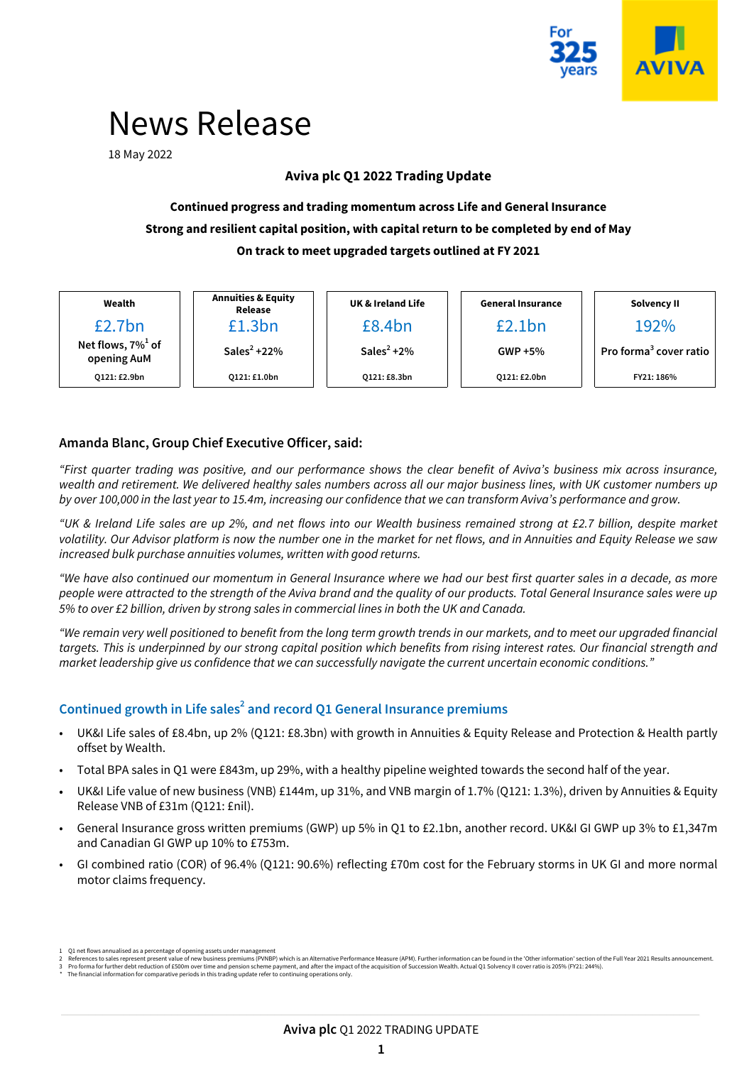

# News Release

18 May 2022

## **Aviva plc Q1 2022 Trading Update**

## **Continued progress and trading momentum across Life and General Insurance Strong and resilient capital position, with capital return to be completed by end of May On track to meet upgraded targets outlined at FY 2021**

| Wealth                                          | <b>Annuities &amp; Equity</b><br>Release | <b>UK &amp; Ireland Life</b> | <b>General Insurance</b> | Solvency II                        |  |  |
|-------------------------------------------------|------------------------------------------|------------------------------|--------------------------|------------------------------------|--|--|
| £2.7bn                                          | £1.3bn                                   | £8.4bn                       | £2.1bn                   | 192%                               |  |  |
| Net flows, $7\%$ <sup>1</sup> of<br>opening AuM | Sales <sup>2</sup> +22\%                 | Sales <sup>2</sup> +2%       | $GWP + 5\%$              | Pro forma <sup>3</sup> cover ratio |  |  |
| 0121: £2.9bn                                    | 0121: £1.0bn                             | 0121: £8.3bn                 | 0121: £2.0bn             | FY21: 186%                         |  |  |

## **Amanda Blanc, Group Chief Executive Officer, said:**

"First quarter trading was positive, and our performance shows the clear benefit of Aviva's business mix across insurance, wealth and retirement. We delivered healthy sales numbers across all our major business lines, with UK customer numbers up by over 100,000 in the last year to 15.4m, increasing our confidence that we can transform Aviva's performance and grow.

"UK & Ireland Life sales are up 2%, and net flows into our Wealth business remained strong at £2.7 billion, despite market volatility. Our Advisor platform is now the number one in the market for net flows, and in Annuities and Equity Release we saw increased bulk purchase annuities volumes, written with good returns.

"We have also continued our momentum in General Insurance where we had our best first quarter sales in a decade, as more people were attracted to the strength of the Aviva brand and the quality of our products. Total General Insurance sales were up 5% to over £2 billion, driven by strong sales in commercial lines in both the UK and Canada.

"We remain very well positioned to benefit from the long term growth trends in our markets, and to meet our upgraded financial targets. This is underpinned by our strong capital position which benefits from rising interest rates. Our financial strength and market leadership give us confidence that we can successfully navigate the current uncertain economic conditions."

## **Continued growth in Life sales<sup>2</sup> and record Q1 General Insurance premiums**

- UK&I Life sales of £8.4bn, up 2% (Q121: £8.3bn) with growth in Annuities & Equity Release and Protection & Health partly offset by Wealth.
- Total BPA sales in Q1 were £843m, up 29%, with a healthy pipeline weighted towards the second half of the year.
- **•** UK&I Life value of new business (VNB) £144m, up 31%, and VNB margin of 1.7% (Q121: 1.3%), driven by Annuities & Equity Release VNB of £31m (Q121: £nil).
- General Insurance gross written premiums (GWP) up 5% in Q1 to £2.1bn, another record. UK&I GI GWP up 3% to £1,347m and Canadian GI GWP up 10% to £753m.
- GI combined ratio (COR) of 96.4% (Q121: 90.6%) reflecting £70m cost for the February storms in UK GI and more normal motor claims frequency.

<sup>1</sup> Q1 net flows annualised as a percentage of opening assets under management<br>2 References to sales represent present with the sales premiums (PVNBP) which is an Alternative Performance Measure (APM). Further information ca

The financial information for comparative periods in this trading update refer to continuing operations only.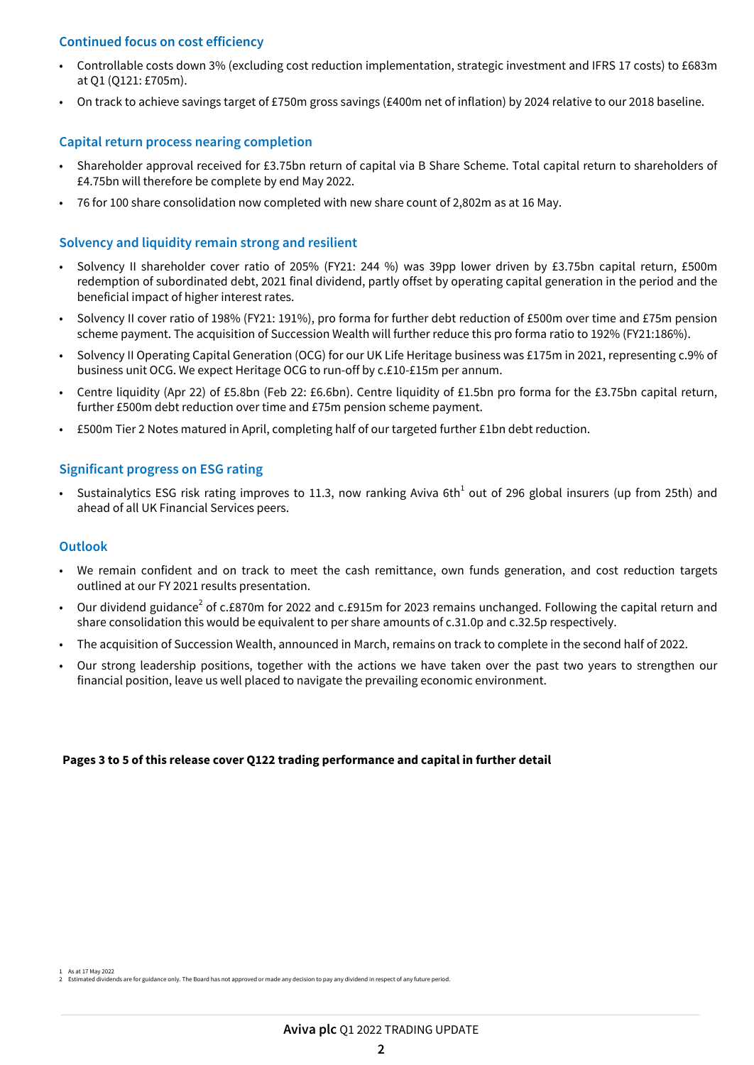## **Continued focus on cost efficiency**

- Controllable costs down 3% (excluding cost reduction implementation, strategic investment and IFRS 17 costs) to £683m at Q1 (Q121: £705m).
- On track to achieve savings target of £750m gross savings (£400m net of inflation) by 2024 relative to our 2018 baseline.

#### **Capital return process nearing completion**

- Shareholder approval received for £3.75bn return of capital via B Share Scheme. Total capital return to shareholders of £4.75bn will therefore be complete by end May 2022.
- 76 for 100 share consolidation now completed with new share count of 2,802m as at 16 May.

#### **Solvency and liquidity remain strong and resilient**

- Solvency II shareholder cover ratio of 205% (FY21: 244 %) was 39pp lower driven by £3.75bn capital return, £500m redemption of subordinated debt, 2021 final dividend, partly offset by operating capital generation in the period and the beneficial impact of higher interest rates.
- Solvency II cover ratio of 198% (FY21: 191%), pro forma for further debt reduction of £500m over time and £75m pension scheme payment. The acquisition of Succession Wealth will further reduce this pro forma ratio to 192% (FY21:186%).
- Solvency II Operating Capital Generation (OCG) for our UK Life Heritage business was £175m in 2021, representing c.9% of business unit OCG. We expect Heritage OCG to run-off by c.£10-£15m per annum.
- Centre liquidity (Apr 22) of £5.8bn (Feb 22: £6.6bn). Centre liquidity of £1.5bn pro forma for the £3.75bn capital return, further £500m debt reduction over time and £75m pension scheme payment.
- £500m Tier 2 Notes matured in April, completing half of our targeted further £1bn debt reduction.

#### **Significant progress on ESG rating**

• Sustainalytics ESG risk rating improves to 11.3, now ranking Aviva 6th<sup>1</sup> out of 296 global insurers (up from 25th) and ahead of all UK Financial Services peers.

#### **Outlook**

- We remain confident and on track to meet the cash remittance, own funds generation, and cost reduction targets outlined at our FY 2021 results presentation.
- Our dividend guidance<sup>2</sup> of c.£870m for 2022 and c.£915m for 2023 remains unchanged. Following the capital return and share consolidation this would be equivalent to per share amounts of c.31.0p and c.32.5p respectively.
- The acquisition of Succession Wealth, announced in March, remains on track to complete in the second half of 2022.
- Our strong leadership positions, together with the actions we have taken over the past two years to strengthen our financial position, leave us well placed to navigate the prevailing economic environment.

#### **Pages 3 to 5 of this release cover Q122 trading performance and capital in further detail**

As at 17 May 2022 idends are for guidance only. The Board has not approved or made any decision to pay any dividend in respect of any future period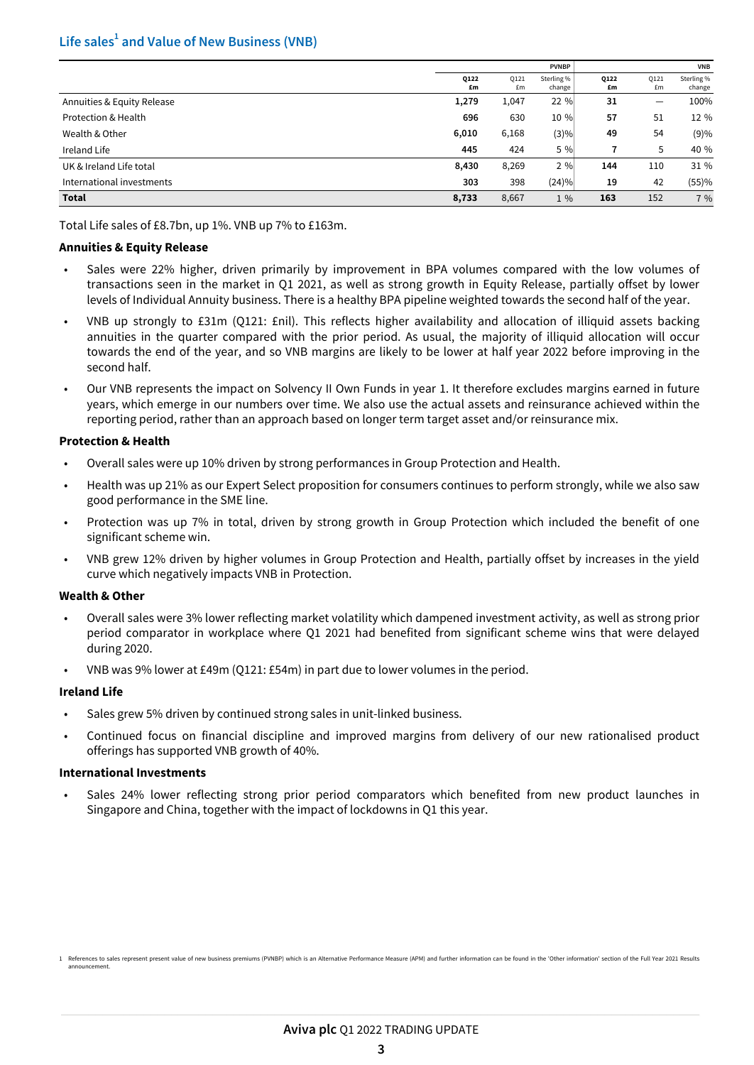## **Life sales<sup>1</sup> and Value of New Business (VNB)**

|                            | <b>PVNBP</b> |            |                      | <b>VNB</b> |                          |                      |
|----------------------------|--------------|------------|----------------------|------------|--------------------------|----------------------|
|                            | Q122<br>£m   | 0121<br>£m | Sterling %<br>change | Q122<br>£m | Q121<br>£m               | Sterling %<br>change |
| Annuities & Equity Release | 1,279        | 1,047      | 22 %                 | 31         | $\overline{\phantom{m}}$ | 100%                 |
| Protection & Health        | 696          | 630        | 10 %                 | 57         | 51                       | 12 %                 |
| Wealth & Other             | 6,010        | 6,168      | (3)%                 | 49         | 54                       | (9)%                 |
| Ireland Life               | 445          | 424        | 5 %                  |            | 5                        | 40 %                 |
| UK & Ireland Life total    | 8,430        | 8,269      | 2%                   | 144        | 110                      | 31 %                 |
| International investments  | 303          | 398        | (24)%                | 19         | 42                       | (55)%                |
| <b>Total</b>               | 8,733        | 8,667      | $1\%$                | 163        | 152                      | 7 %                  |

Total Life sales of £8.7bn, up 1%. VNB up 7% to £163m.

#### **Annuities & Equity Release**

- Sales were 22% higher, driven primarily by improvement in BPA volumes compared with the low volumes of transactions seen in the market in Q1 2021, as well as strong growth in Equity Release, partially offset by lower levels of Individual Annuity business. There is a healthy BPA pipeline weighted towards the second half of the year.
- VNB up strongly to £31m (Q121: £nil). This reflects higher availability and allocation of illiquid assets backing annuities in the quarter compared with the prior period. As usual, the majority of illiquid allocation will occur towards the end of the year, and so VNB margins are likely to be lower at half year 2022 before improving in the second half.
- Our VNB represents the impact on Solvency II Own Funds in year 1. It therefore excludes margins earned in future years, which emerge in our numbers over time. We also use the actual assets and reinsurance achieved within the reporting period, rather than an approach based on longer term target asset and/or reinsurance mix.

#### **Protection & Health**

- Overall sales were up 10% driven by strong performances in Group Protection and Health.
- Health was up 21% as our Expert Select proposition for consumers continues to perform strongly, while we also saw good performance in the SME line.
- Protection was up 7% in total, driven by strong growth in Group Protection which included the benefit of one significant scheme win.
- VNB grew 12% driven by higher volumes in Group Protection and Health, partially offset by increases in the yield curve which negatively impacts VNB in Protection.

#### **Wealth & Other**

- Overall sales were 3% lower reflecting market volatility which dampened investment activity, as well as strong prior period comparator in workplace where Q1 2021 had benefited from significant scheme wins that were delayed during 2020.
- VNB was 9% lower at £49m (Q121: £54m) in part due to lower volumes in the period.

#### **Ireland Life**

- Sales grew 5% driven by continued strong sales in unit-linked business.
- Continued focus on financial discipline and improved margins from delivery of our new rationalised product offerings has supported VNB growth of 40%.

#### **International Investments**

• Sales 24% lower reflecting strong prior period comparators which benefited from new product launches in Singapore and China, together with the impact of lockdowns in Q1 this year.

<sup>1</sup> References to sales represent present value of new business premiums (PVNBP) which is an Alternative Performance Measure (APM) and further information can be found in the 'Other information' section of the Full Year 2021 announcement.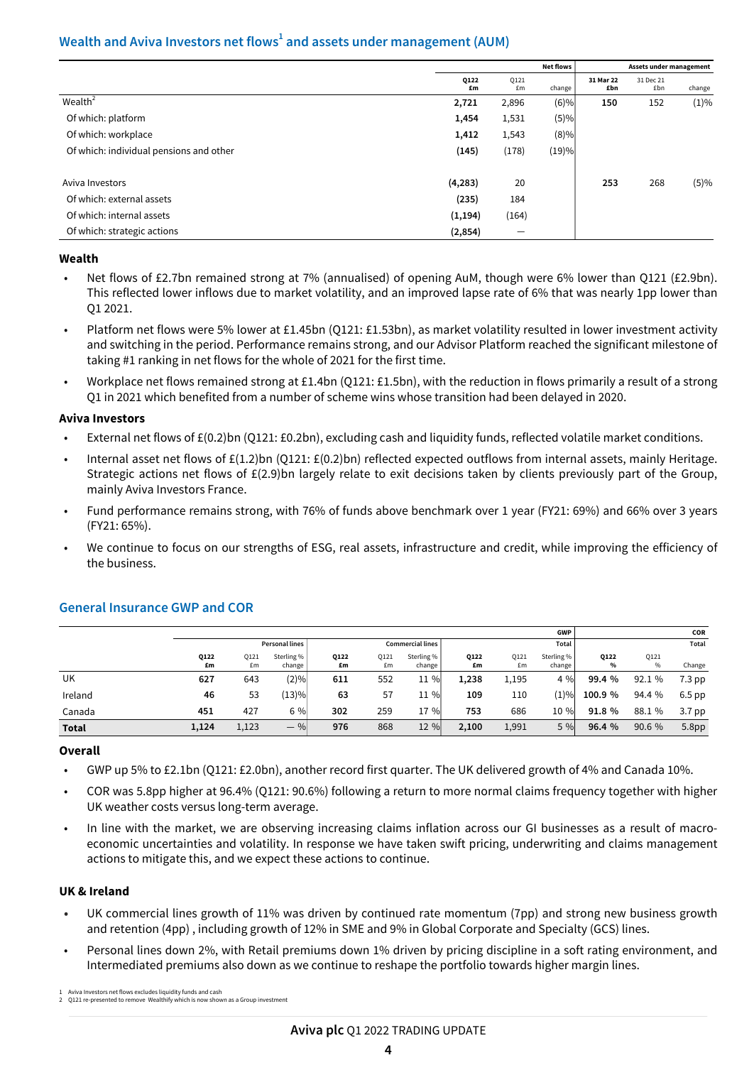## **Wealth and Aviva Investors net flows<sup>1</sup> and assets under management (AUM)**

|                                         |            | <b>Net flows</b>         |                     |                  | Assets under management |         |  |  |
|-----------------------------------------|------------|--------------------------|---------------------|------------------|-------------------------|---------|--|--|
|                                         | Q122<br>£m | Q121<br>£m               | change <sup>1</sup> | 31 Mar 22<br>£bn | 31 Dec 21<br>£bn        | change  |  |  |
| Wealth <sup>2</sup>                     | 2,721      | 2,896                    | (6)%                | 150              | 152                     | $(1)\%$ |  |  |
| Of which: platform                      | 1,454      | 1,531                    | (5)%                |                  |                         |         |  |  |
| Of which: workplace                     | 1,412      | 1,543                    | (8)%                |                  |                         |         |  |  |
| Of which: individual pensions and other | (145)      | (178)                    | (19)%               |                  |                         |         |  |  |
| Aviva Investors                         | (4, 283)   | 20                       |                     | 253              | 268                     | (5)%    |  |  |
| Of which: external assets               | (235)      | 184                      |                     |                  |                         |         |  |  |
| Of which: internal assets               | (1, 194)   | (164)                    |                     |                  |                         |         |  |  |
| Of which: strategic actions             | (2, 854)   | $\overline{\phantom{m}}$ |                     |                  |                         |         |  |  |

#### **Wealth**

- Net flows of £2.7bn remained strong at 7% (annualised) of opening AuM, though were 6% lower than Q121 (£2.9bn). This reflected lower inflows due to market volatility, and an improved lapse rate of 6% that was nearly 1pp lower than Q1 2021.
- Platform net flows were 5% lower at £1.45bn (Q121: £1.53bn), as market volatility resulted in lower investment activity and switching in the period. Performance remains strong, and our Advisor Platform reached the significant milestone of taking #1 ranking in net flows for the whole of 2021 for the first time.
- Workplace net flows remained strong at £1.4bn (Q121: £1.5bn), with the reduction in flows primarily a result of a strong Q1 in 2021 which benefited from a number of scheme wins whose transition had been delayed in 2020.

#### **Aviva Investors**

- External net flows of £(0.2)bn (Q121: £0.2bn), excluding cash and liquidity funds, reflected volatile market conditions.
- Internal asset net flows of £(1.2)bn (Q121: £(0.2)bn) reflected expected outflows from internal assets, mainly Heritage. Strategic actions net flows of £(2.9)bn largely relate to exit decisions taken by clients previously part of the Group, mainly Aviva Investors France.
- Fund performance remains strong, with 76% of funds above benchmark over 1 year (FY21: 69%) and 66% over 3 years (FY21: 65%).
- We continue to focus on our strengths of ESG, real assets, infrastructure and credit, while improving the efficiency of the business.

|              |                       |            |                      |                  |            |                      |            |            | <b>GWP</b>           |                       |                       | COR               |
|--------------|-----------------------|------------|----------------------|------------------|------------|----------------------|------------|------------|----------------------|-----------------------|-----------------------|-------------------|
|              | <b>Personal lines</b> |            |                      | Commercial lines |            |                      | Total      |            |                      | Total                 |                       |                   |
|              | Q122<br>£m            | 0121<br>£m | Sterling %<br>change | Q122<br>£m       | 0121<br>£m | Sterling %<br>change | Q122<br>£m | 0121<br>£m | Sterling %<br>change | Q122<br>$\frac{9}{6}$ | Q121<br>$\frac{0}{0}$ | Change            |
| UK           | 627                   | 643        | (2)%                 | 611              | 552        | 11 %                 | 1,238      | 1,195      | 4 %                  | 99.4 %                | 92.1 %                | $7.3$ pp          |
| Ireland      | 46                    | 53         | (13)%                | 63               | 57         | 11 %                 | 109        | 110        | (1)%                 | 100.9 %               | 94.4 %                | 6.5 pp            |
| Canada       | 451                   | 427        | 6 %                  | 302              | 259        | 17 %                 | 753        | 686        | 10 %                 | 91.8 %                | 88.1 %                | 3.7 <sub>pp</sub> |
| <b>Total</b> | 1,124                 | 1,123      | $-$ %                | 976              | 868        | 12 %                 | 2,100      | 1,991      | 5 %                  | 96.4 %                | 90.6 %                | 5.8 <sub>pp</sub> |

## **General Insurance GWP and COR**

#### **Overall**

- GWP up 5% to £2.1bn (Q121: £2.0bn), another record first quarter. The UK delivered growth of 4% and Canada 10%.
- COR was 5.8pp higher at 96.4% (Q121: 90.6%) following a return to more normal claims frequency together with higher UK weather costs versus long-term average.
- In line with the market, we are observing increasing claims inflation across our GI businesses as a result of macroeconomic uncertainties and volatility. In response we have taken swift pricing, underwriting and claims management actions to mitigate this, and we expect these actions to continue.

#### **UK & Ireland**

- **•** UK commercial lines growth of 11% was driven by continued rate momentum (7pp) and strong new business growth and retention (4pp) , including growth of 12% in SME and 9% in Global Corporate and Specialty (GCS) lines.
- Personal lines down 2%, with Retail premiums down 1% driven by pricing discipline in a soft rating environment, and Intermediated premiums also down as we continue to reshape the portfolio towards higher margin lines.

<sup>1</sup> Aviva Investors net flows excludes liquidity funds and cash 2 Q121 re-presented to remove Wealthify which is now shown as a Group investmen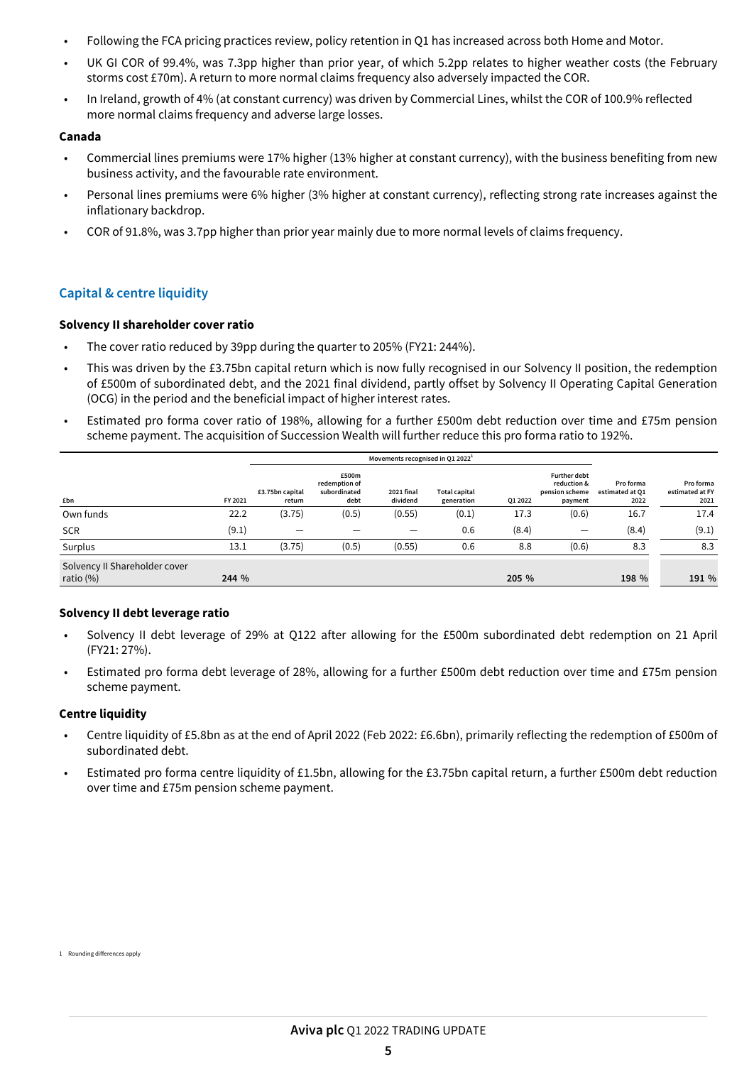- Following the FCA pricing practices review, policy retention in Q1 has increased across both Home and Motor.
- UK GI COR of 99.4%, was 7.3pp higher than prior year, of which 5.2pp relates to higher weather costs (the February storms cost £70m). A return to more normal claims frequency also adversely impacted the COR.
- In Ireland, growth of 4% (at constant currency) was driven by Commercial Lines, whilst the COR of 100.9% reflected more normal claims frequency and adverse large losses.

#### **Canada**

- Commercial lines premiums were 17% higher (13% higher at constant currency), with the business benefiting from new business activity, and the favourable rate environment.
- Personal lines premiums were 6% higher (3% higher at constant currency), reflecting strong rate increases against the inflationary backdrop.
- COR of 91.8%, was 3.7pp higher than prior year mainly due to more normal levels of claims frequency.

## **Capital & centre liquidity**

#### **Solvency II shareholder cover ratio**

- The cover ratio reduced by 39pp during the quarter to 205% (FY21: 244%).
- This was driven by the £3.75bn capital return which is now fully recognised in our Solvency II position, the redemption of £500m of subordinated debt, and the 2021 final dividend, partly offset by Solvency II Operating Capital Generation (OCG) in the period and the beneficial impact of higher interest rates.
- Estimated pro forma cover ratio of 198%, allowing for a further £500m debt reduction over time and £75m pension scheme payment. The acquisition of Succession Wealth will further reduce this pro forma ratio to 192%.

|                                               | Movements recognised in Q1 2022 <sup>1</sup> |                           |                                                |                        |                                    |         |                                                                 |                                      |                                      |  |
|-----------------------------------------------|----------------------------------------------|---------------------------|------------------------------------------------|------------------------|------------------------------------|---------|-----------------------------------------------------------------|--------------------------------------|--------------------------------------|--|
| £bn                                           | FY 2021                                      | £3.75bn capital<br>return | £500m<br>redemption of<br>subordinated<br>debt | 2021 final<br>dividend | <b>Total capital</b><br>generation | Q1 2022 | <b>Further debt</b><br>reduction &<br>pension scheme<br>payment | Pro forma<br>estimated at Q1<br>2022 | Pro forma<br>estimated at FY<br>2021 |  |
| Own funds                                     | 22.2                                         | (3.75)                    | (0.5)                                          | (0.55)                 | (0.1)                              | 17.3    | (0.6)                                                           | 16.7                                 | 17.4                                 |  |
| <b>SCR</b>                                    | (9.1)                                        | $\overline{\phantom{0}}$  |                                                | —                      | 0.6                                | (8.4)   | $\qquad \qquad$                                                 | (8.4)                                | (9.1)                                |  |
| Surplus                                       | 13.1                                         | (3.75)                    | (0.5)                                          | (0.55)                 | 0.6                                | 8.8     | (0.6)                                                           | 8.3                                  | 8.3                                  |  |
| Solvency II Shareholder cover<br>ratio $(\%)$ | 244 %                                        |                           |                                                |                        |                                    | 205 %   |                                                                 | 198 %                                | 191 %                                |  |

#### **Solvency II debt leverage ratio**

- Solvency II debt leverage of 29% at Q122 after allowing for the £500m subordinated debt redemption on 21 April (FY21: 27%).
- Estimated pro forma debt leverage of 28%, allowing for a further £500m debt reduction over time and £75m pension scheme payment.

#### **Centre liquidity**

- Centre liquidity of £5.8bn as at the end of April 2022 (Feb 2022: £6.6bn), primarily reflecting the redemption of £500m of subordinated debt.
- Estimated pro forma centre liquidity of £1.5bn, allowing for the £3.75bn capital return, a further £500m debt reduction over time and £75m pension scheme payment.

1 Rounding differences apply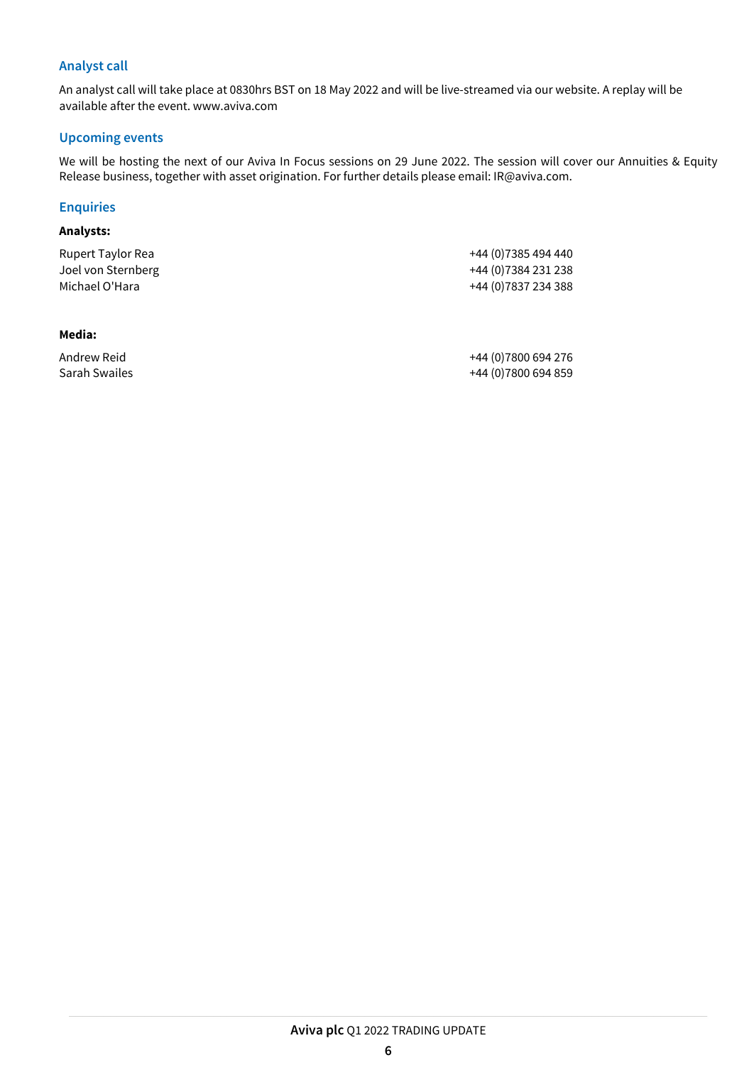## **Analyst call**

An analyst call will take place at 0830hrs BST on 18 May 2022 and will be live-streamed via our website. A replay will be available after the event. www.aviva.com

#### **Upcoming events**

We will be hosting the next of our Aviva In Focus sessions on 29 June 2022. The session will cover our Annuities & Equity Release business, together with asset origination. For further details please email: IR@aviva.com.

## **Enquiries**

#### **Analysts:**

| Rupert Taylor Rea  | +44 (0)7385 494 440  |
|--------------------|----------------------|
| Joel von Sternberg | +44 (0)7384 231 238  |
| Michael O'Hara     | +44 (0) 7837 234 388 |

#### **Media:**

Andrew Reid +44 (0)7800 694 276 Sarah Swailes +44 (0)7800 694 859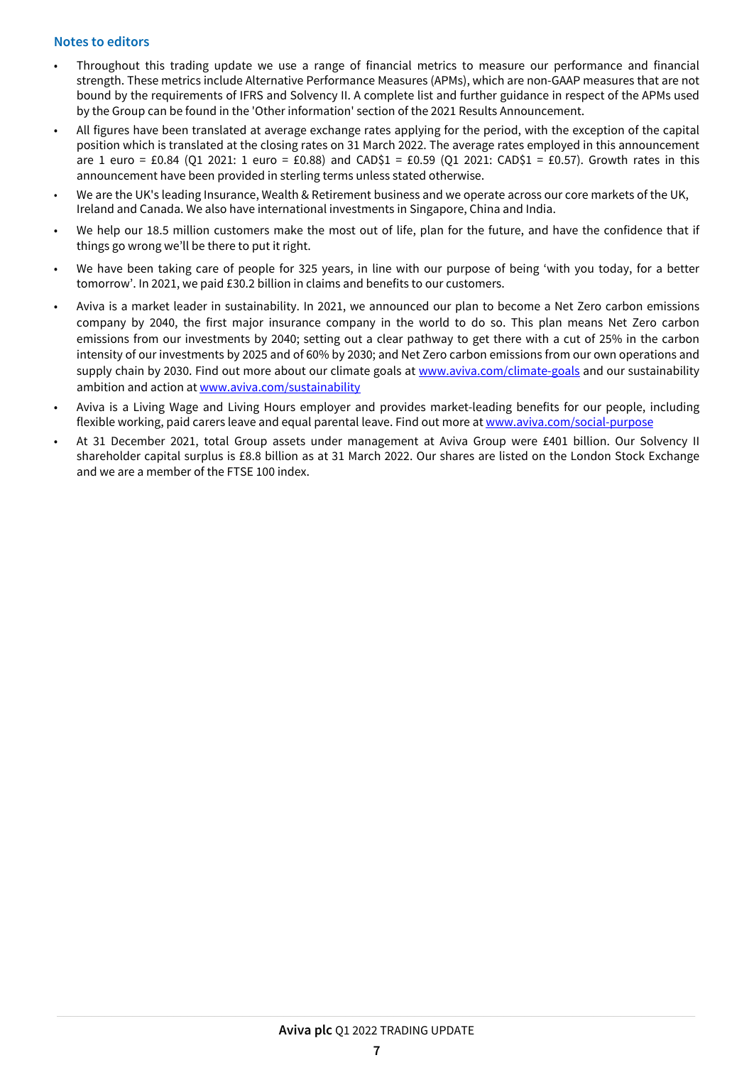## **Notes to editors**

- Throughout this trading update we use a range of financial metrics to measure our performance and financial strength. These metrics include Alternative Performance Measures (APMs), which are non-GAAP measures that are not bound by the requirements of IFRS and Solvency II. A complete list and further guidance in respect of the APMs used by the Group can be found in the 'Other information' section of the 2021 Results Announcement.
- All figures have been translated at average exchange rates applying for the period, with the exception of the capital position which is translated at the closing rates on 31 March 2022. The average rates employed in this announcement are 1 euro = £0.84 (Q1 2021: 1 euro = £0.88) and CAD\$1 = £0.59 (Q1 2021: CAD\$1 = £0.57). Growth rates in this announcement have been provided in sterling terms unless stated otherwise.
- We are the UK's leading Insurance, Wealth & Retirement business and we operate across our core markets of the UK, Ireland and Canada. We also have international investments in Singapore, China and India.
- We help our 18.5 million customers make the most out of life, plan for the future, and have the confidence that if things go wrong we'll be there to put it right.
- We have been taking care of people for 325 years, in line with our purpose of being 'with you today, for a better tomorrow'. In 2021, we paid £30.2 billion in claims and benefits to our customers.
- Aviva is a market leader in sustainability. In 2021, we announced our plan to become a Net Zero carbon emissions company by 2040, the first major insurance company in the world to do so. This plan means Net Zero carbon emissions from our investments by 2040; setting out a clear pathway to get there with a cut of 25% in the carbon intensity of our investments by 2025 and of 60% by 2030; and Net Zero carbon emissions from our own operations and supply chain by 2030. Find out more about our climate goals at [www.aviva.com/climate-goals](https://www.aviva.com/climate-goals) and our sustainability ambition and action at [www.aviva.com/sustainability](https://www.aviva.com/sustainability)
- Aviva is a Living Wage and Living Hours employer and provides market-leading benefits for our people, including flexible working, paid carers leave and equal parental leave. Find out more at [www.aviva.com/social-purpose](https://www.aviva.com/social-purpose)
- At 31 December 2021, total Group assets under management at Aviva Group were £401 billion. Our Solvency II shareholder capital surplus is £8.8 billion as at 31 March 2022. Our shares are listed on the London Stock Exchange and we are a member of the FTSE 100 index.